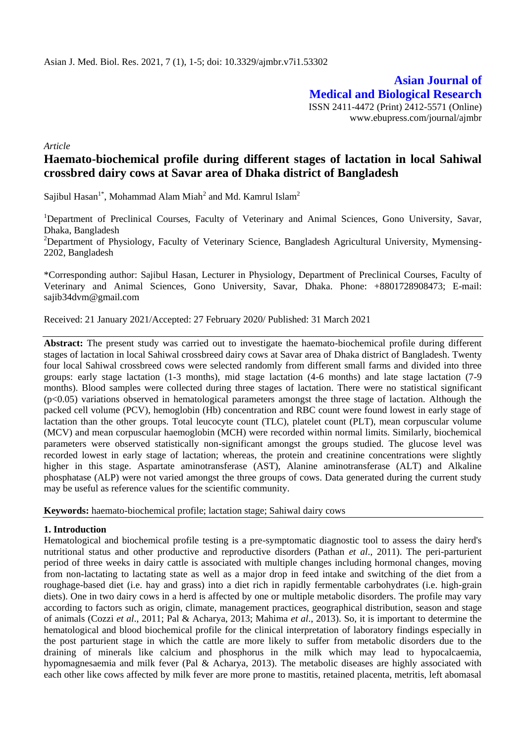**Asian Journal of Medical and Biological Research** ISSN 2411-4472 (Print) 2412-5571 (Online) www.ebupress.com/journal/ajmbr

*Article*

# **Haemato-biochemical profile during different stages of lactation in local Sahiwal crossbred dairy cows at Savar area of Dhaka district of Bangladesh**

Sajibul Hasan<sup>1\*</sup>, Mohammad Alam Miah<sup>2</sup> and Md. Kamrul Islam<sup>2</sup>

<sup>1</sup>Department of Preclinical Courses, Faculty of Veterinary and Animal Sciences, Gono University, Savar, Dhaka, Bangladesh

<sup>2</sup>Department of Physiology, Faculty of Veterinary Science, Bangladesh Agricultural University, Mymensing-2202, Bangladesh

\*Corresponding author: Sajibul Hasan, Lecturer in Physiology, Department of Preclinical Courses, Faculty of Veterinary and Animal Sciences, Gono University, Savar, Dhaka. Phone: +8801728908473; E-mail: sajib34dvm@gmail.com

Received: 21 January 2021/Accepted: 27 February 2020/ Published: 31 March 2021

**Abstract:** The present study was carried out to investigate the haemato-biochemical profile during different stages of lactation in local Sahiwal crossbreed dairy cows at Savar area of Dhaka district of Bangladesh. Twenty four local Sahiwal crossbreed cows were selected randomly from different small farms and divided into three groups: early stage lactation (1-3 months), mid stage lactation (4-6 months) and late stage lactation (7-9 months). Blood samples were collected during three stages of lactation. There were no statistical significant (p<0.05) variations observed in hematological parameters amongst the three stage of lactation. Although the packed cell volume (PCV), hemoglobin (Hb) concentration and RBC count were found lowest in early stage of lactation than the other groups. Total leucocyte count (TLC), platelet count (PLT), mean corpuscular volume (MCV) and mean corpuscular haemoglobin (MCH) were recorded within normal limits. Similarly, biochemical parameters were observed statistically non-significant amongst the groups studied. The glucose level was recorded lowest in early stage of lactation; whereas, the protein and creatinine concentrations were slightly higher in this stage. Aspartate aminotransferase (AST), Alanine aminotransferase (ALT) and Alkaline phosphatase (ALP) were not varied amongst the three groups of cows. Data generated during the current study may be useful as reference values for the scientific community.

**Keywords:** haemato-biochemical profile; lactation stage; Sahiwal dairy cows

### **1. Introduction**

Hematological and biochemical profile testing is a pre-symptomatic diagnostic tool to assess the dairy herd's nutritional status and other productive and reproductive disorders (Pathan *et al*., 2011). The peri-parturient period of three weeks in dairy cattle is associated with multiple changes including hormonal changes, moving from non-lactating to lactating state as well as a major drop in feed intake and switching of the diet from a roughage-based diet (i.e. hay and grass) into a diet rich in rapidly fermentable carbohydrates (i.e. high-grain diets). One in two dairy cows in a herd is affected by one or multiple metabolic disorders. The profile may vary according to factors such as origin, climate, management practices, geographical distribution, season and stage of animals (Cozzi *et al*., 2011; Pal & Acharya, 2013; Mahima *et al*., 2013). So, it is important to determine the hematological and blood biochemical profile for the clinical interpretation of laboratory findings especially in the post parturient stage in which the cattle are more likely to suffer from metabolic disorders due to the draining of minerals like calcium and phosphorus in the milk which may lead to hypocalcaemia, hypomagnesaemia and milk fever (Pal & Acharya, 2013). The metabolic diseases are highly associated with each other like cows affected by milk fever are more prone to mastitis, retained placenta, metritis, left abomasal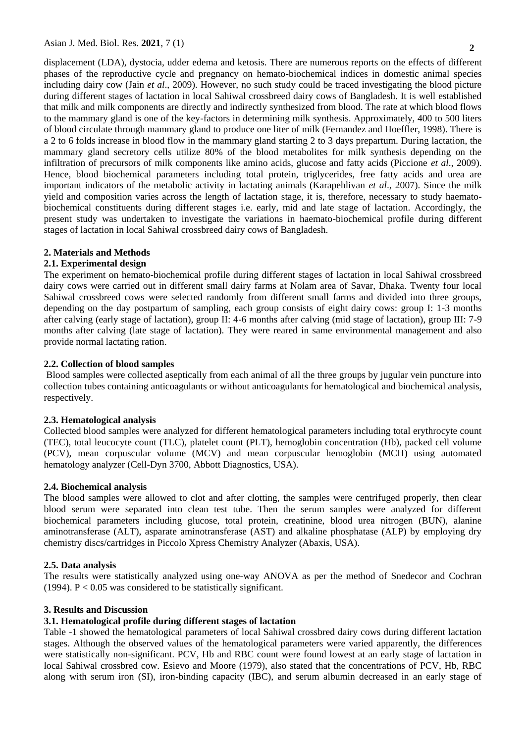displacement (LDA), dystocia, udder edema and ketosis. There are numerous reports on the effects of different phases of the reproductive cycle and pregnancy on hemato-biochemical indices in domestic animal species including dairy cow (Jain *et al*., 2009). However, no such study could be traced investigating the blood picture during different stages of lactation in local Sahiwal crossbreed dairy cows of Bangladesh. It is well established that milk and milk components are directly and indirectly synthesized from blood. The rate at which blood flows to the mammary gland is one of the key-factors in determining milk synthesis. Approximately, 400 to 500 liters of blood circulate through mammary gland to produce one liter of milk (Fernandez and Hoeffler, 1998). There is a 2 to 6 folds increase in blood flow in the mammary gland starting 2 to 3 days prepartum. During lactation, the mammary gland secretory cells utilize 80% of the blood metabolites for milk synthesis depending on the infiltration of precursors of milk components like amino acids, glucose and fatty acids (Piccione *et al*., 2009). Hence, blood biochemical parameters including total protein, triglycerides, free fatty acids and urea are important indicators of the metabolic activity in lactating animals (Karapehlivan *et al*., 2007). Since the milk yield and composition varies across the length of lactation stage, it is, therefore, necessary to study haematobiochemical constituents during different stages i.e. early, mid and late stage of lactation. Accordingly, the present study was undertaken to investigate the variations in haemato-biochemical profile during different stages of lactation in local Sahiwal crossbreed dairy cows of Bangladesh.

# **2. Materials and Methods**

### **2.1. Experimental design**

The experiment on hemato-biochemical profile during different stages of lactation in local Sahiwal crossbreed dairy cows were carried out in different small dairy farms at Nolam area of Savar, Dhaka. Twenty four local Sahiwal crossbreed cows were selected randomly from different small farms and divided into three groups, depending on the day postpartum of sampling, each group consists of eight dairy cows: group I: 1-3 months after calving (early stage of lactation), group II: 4-6 months after calving (mid stage of lactation), group III: 7-9 months after calving (late stage of lactation). They were reared in same environmental management and also provide normal lactating ration.

### **2.2. Collection of blood samples**

Blood samples were collected aseptically from each animal of all the three groups by jugular vein puncture into collection tubes containing anticoagulants or without anticoagulants for hematological and biochemical analysis, respectively.

## **2.3. Hematological analysis**

Collected blood samples were analyzed for different hematological parameters including total erythrocyte count (TEC), total leucocyte count (TLC), platelet count (PLT), hemoglobin concentration (Hb), packed cell volume (PCV), mean corpuscular volume (MCV) and mean corpuscular hemoglobin (MCH) using automated hematology analyzer (Cell-Dyn 3700, Abbott Diagnostics, USA).

### **2.4. Biochemical analysis**

The blood samples were allowed to clot and after clotting, the samples were centrifuged properly, then clear blood serum were separated into clean test tube. Then the serum samples were analyzed for different biochemical parameters including glucose, total protein, creatinine, blood urea nitrogen (BUN), alanine aminotransferase (ALT), asparate aminotransferase (AST) and alkaline phosphatase (ALP) by employing dry chemistry discs/cartridges in Piccolo Xpress Chemistry Analyzer (Abaxis, USA).

### **2.5. Data analysis**

The results were statistically analyzed using one-way ANOVA as per the method of Snedecor and Cochran (1994).  $P < 0.05$  was considered to be statistically significant.

### **3. Results and Discussion**

# **3.1. Hematological profile during different stages of lactation**

Table -1 showed the hematological parameters of local Sahiwal crossbred dairy cows during different lactation stages. Although the observed values of the hematological parameters were varied apparently, the differences were statistically non-significant. PCV, Hb and RBC count were found lowest at an early stage of lactation in local Sahiwal crossbred cow. Esievo and Moore (1979), also stated that the concentrations of PCV, Hb, RBC along with serum iron (SI), iron-binding capacity (IBC), and serum albumin decreased in an early stage of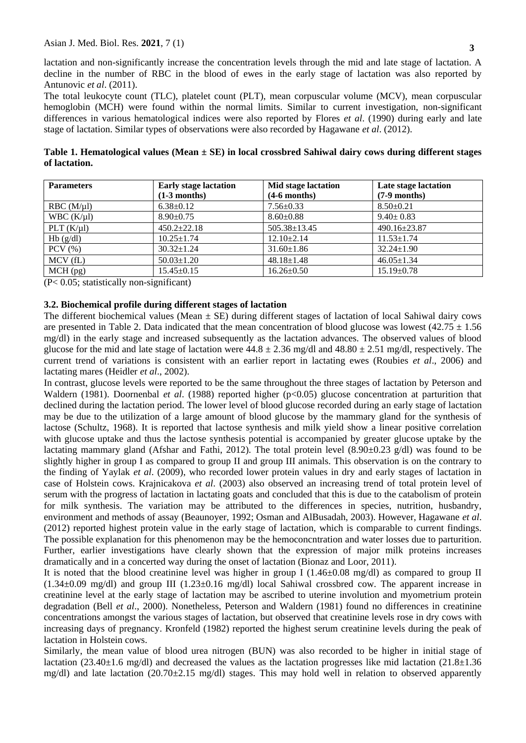lactation and non-significantly increase the concentration levels through the mid and late stage of lactation. A decline in the number of RBC in the blood of ewes in the early stage of lactation was also reported by Antunovic *et al*. (2011).

The total leukocyte count (TLC), platelet count (PLT), mean corpuscular volume (MCV), mean corpuscular hemoglobin (MCH) were found within the normal limits. Similar to current investigation, non-significant differences in various hematological indices were also reported by Flores *et al*. (1990) during early and late stage of lactation. Similar types of observations were also recorded by Hagawane *et al*. (2012).

**Table 1. Hematological values (Mean ± SE) in local crossbred Sahiwal dairy cows during different stages of lactation.**

| <b>Parameters</b> | <b>Early stage lactation</b> | Mid stage lactation | Late stage lactation |
|-------------------|------------------------------|---------------------|----------------------|
|                   | $(1-3$ months)               | $(4-6$ months)      | $(7-9$ months)       |
| $RBC (M/\mu l)$   | $6.38 \pm 0.12$              | $7.56 \pm 0.33$     | $8.50 \pm 0.21$      |
| WBC $(K/\mu I)$   | $8.90 \pm 0.75$              | $8.60 \pm 0.88$     | $9.40 \pm 0.83$      |
| PLT(K/u)          | $450.2 \pm 22.18$            | 505.38±13.45        | 490.16±23.87         |
| Hb(g/dl)          | $10.25 \pm 1.74$             | $12.10 \pm 2.14$    | $11.53 \pm 1.74$     |
| $PCV$ $(\% )$     | $30.32 \pm 1.24$             | $31.60 \pm 1.86$    | $32.24 \pm 1.90$     |
| MCV(fL)           | $50.03 \pm 1.20$             | $48.18 \pm 1.48$    | $46.05 \pm 1.34$     |
| $MCH$ (pg)        | $15.45 \pm 0.15$             | $16.26 \pm 0.50$    | $15.19 \pm 0.78$     |

(P< 0.05; statistically non-significant)

## **3.2. Biochemical profile during different stages of lactation**

The different biochemical values (Mean  $\pm$  SE) during different stages of lactation of local Sahiwal dairy cows are presented in Table 2. Data indicated that the mean concentration of blood glucose was lowest (42.75  $\pm$  1.56 mg/dl) in the early stage and increased subsequently as the lactation advances. The observed values of blood glucose for the mid and late stage of lactation were  $44.8 \pm 2.36$  mg/dl and  $48.80 \pm 2.51$  mg/dl, respectively. The current trend of variations is consistent with an earlier report in lactating ewes (Roubies *et al*., 2006) and lactating mares (Heidler *et al*., 2002).

In contrast, glucose levels were reported to be the same throughout the three stages of lactation by Peterson and Waldern (1981). Doornenbal *et al.* (1988) reported higher (p<0.05) glucose concentration at parturition that declined during the lactation period. The lower level of blood glucose recorded during an early stage of lactation may be due to the utilization of a large amount of blood glucose by the mammary gland for the synthesis of lactose (Schultz, 1968). It is reported that lactose synthesis and milk yield show a linear positive correlation with glucose uptake and thus the lactose synthesis potential is accompanied by greater glucose uptake by the lactating mammary gland (Afshar and Fathi, 2012). The total protein level (8.90±0.23 g/dl) was found to be slightly higher in group I as compared to group II and group III animals. This observation is on the contrary to the finding of Yaylak *et al*. (2009), who recorded lower protein values in dry and early stages of lactation in case of Holstein cows. Krajnicakova *et al*. (2003) also observed an increasing trend of total protein level of serum with the progress of lactation in lactating goats and concluded that this is due to the catabolism of protein for milk synthesis. The variation may be attributed to the differences in species, nutrition, husbandry, environment and methods of assay (Beaunoyer, 1992; Osman and AlBusadah, 2003). However, Hagawane *et al*. (2012) reported highest protein value in the early stage of lactation, which is comparable to current findings. The possible explanation for this phenomenon may be the hemoconcntration and water losses due to parturition. Further, earlier investigations have clearly shown that the expression of major milk proteins increases dramatically and in a concerted way during the onset of lactation (Bionaz and Loor, 2011).

It is noted that the blood creatinine level was higher in group I (1.46±0.08 mg/dl) as compared to group II (1.34±0.09 mg/dl) and group III (1.23±0.16 mg/dl) local Sahiwal crossbred cow. The apparent increase in creatinine level at the early stage of lactation may be ascribed to uterine involution and myometrium protein degradation (Bell *et al*., 2000). Nonetheless, Peterson and Waldern (1981) found no differences in creatinine concentrations amongst the various stages of lactation, but observed that creatinine levels rose in dry cows with increasing days of pregnancy. Kronfeld (1982) reported the highest serum creatinine levels during the peak of lactation in Holstein cows.

Similarly, the mean value of blood urea nitrogen (BUN) was also recorded to be higher in initial stage of lactation (23.40±1.6 mg/dl) and decreased the values as the lactation progresses like mid lactation (21.8±1.36 mg/dl) and late lactation (20.70±2.15 mg/dl) stages. This may hold well in relation to observed apparently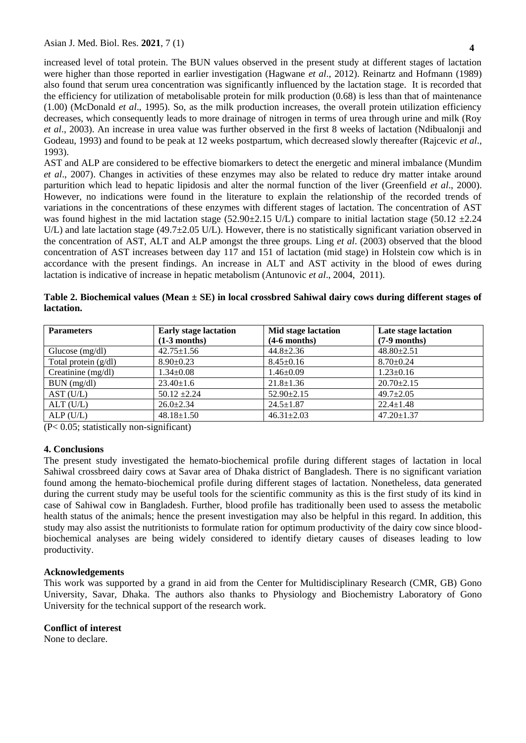increased level of total protein. The BUN values observed in the present study at different stages of lactation were higher than those reported in earlier investigation (Hagwane *et al*., 2012). Reinartz and Hofmann (1989) also found that serum urea concentration was significantly influenced by the lactation stage. It is recorded that the efficiency for utilization of metabolisable protein for milk production (0.68) is less than that of maintenance (1.00) (McDonald *et al*., 1995). So, as the milk production increases, the overall protein utilization efficiency decreases, which consequently leads to more drainage of nitrogen in terms of urea through urine and milk (Roy *et al*., 2003). An increase in urea value was further observed in the first 8 weeks of lactation (Ndibualonji and Godeau, 1993) and found to be peak at 12 weeks postpartum, which decreased slowly thereafter (Rajcevic *et al*., 1993).

AST and ALP are considered to be effective biomarkers to detect the energetic and mineral imbalance (Mundim *et al*., 2007). Changes in activities of these enzymes may also be related to reduce dry matter intake around parturition which lead to hepatic lipidosis and alter the normal function of the liver (Greenfield *et al*., 2000). However, no indications were found in the literature to explain the relationship of the recorded trends of variations in the concentrations of these enzymes with different stages of lactation. The concentration of AST was found highest in the mid lactation stage (52.90±2.15 U/L) compare to initial lactation stage (50.12  $\pm$ 2.24 U/L) and late lactation stage (49.7±2.05 U/L). However, there is no statistically significant variation observed in the concentration of AST, ALT and ALP amongst the three groups. Ling *et al*. (2003) observed that the blood concentration of AST increases between day 117 and 151 of lactation (mid stage) in Holstein cow which is in accordance with the present findings. An increase in ALT and AST activity in the blood of ewes during lactation is indicative of increase in hepatic metabolism (Antunovic *et al*., 2004, 2011).

**Table 2. Biochemical values (Mean ± SE) in local crossbred Sahiwal dairy cows during different stages of lactation.**

| <b>Parameters</b>      | <b>Early stage lactation</b> | Mid stage lactation | Late stage lactation |
|------------------------|------------------------------|---------------------|----------------------|
|                        | $(1-3$ months)               | $(4-6$ months)      | $(7-9$ months)       |
| Glucose $(mg/dl)$      | $42.75 \pm 1.56$             | $44.8 \pm 2.36$     | $48.80 \pm 2.51$     |
| Total protein $(g/dl)$ | $8.90 \pm 0.23$              | $8.45 \pm 0.16$     | $8.70 \pm 0.24$      |
| Creatinine $(mg/dl)$   | $1.34 \pm 0.08$              | $1.46 \pm 0.09$     | $1.23 \pm 0.16$      |
| BUN (mg/dl)            | $23.40 \pm 1.6$              | $21.8 \pm 1.36$     | $20.70 \pm 2.15$     |
| AST (U/L)              | $50.12 \pm 2.24$             | $52.90 \pm 2.15$    | $49.7 \pm 2.05$      |
| $ALT$ (U/L)            | $26.0 \pm 2.34$              | $24.5 \pm 1.87$     | $22.4 \pm 1.48$      |
| ALP(U/L)               | $48.18 \pm 1.50$             | $46.31 \pm 2.03$    | $47.20 \pm 1.37$     |

(P< 0.05; statistically non-significant)

#### **4. Conclusions**

The present study investigated the hemato-biochemical profile during different stages of lactation in local Sahiwal crossbreed dairy cows at Savar area of Dhaka district of Bangladesh. There is no significant variation found among the hemato-biochemical profile during different stages of lactation. Nonetheless, data generated during the current study may be useful tools for the scientific community as this is the first study of its kind in case of Sahiwal cow in Bangladesh. Further, blood profile has traditionally been used to assess the metabolic health status of the animals; hence the present investigation may also be helpful in this regard. In addition, this study may also assist the nutritionists to formulate ration for optimum productivity of the dairy cow since bloodbiochemical analyses are being widely considered to identify dietary causes of diseases leading to low productivity.

#### **Acknowledgements**

This work was supported by a grand in aid from the Center for Multidisciplinary Research (CMR, GB) Gono University, Savar, Dhaka. The authors also thanks to Physiology and Biochemistry Laboratory of Gono University for the technical support of the research work.

### **Conflict of interest**

None to declare.